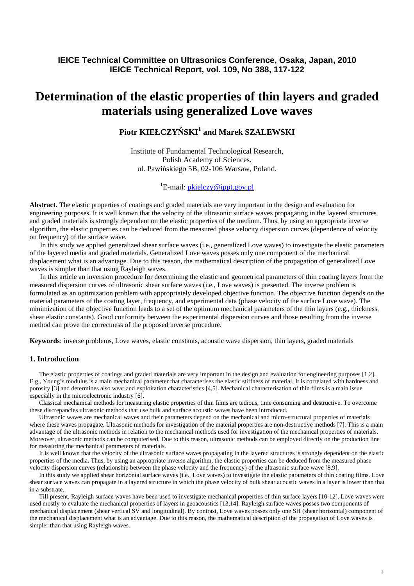# **IEICE Technical Committee on Ultrasonics Conference, Osaka, Japan, 2010 IEICE Technical Report, vol. 109, No 388, 117-122**

# **Determination of the elastic properties of thin layers and graded materials using generalized Love waves**

# **Piotr KIEŁCZY**Ń**SKI<sup>1</sup> and Marek SZALEWSKI**

Institute of Fundamental Technological Research, Polish Academy of Sciences, ul. Pawińskiego 5B, 02-106 Warsaw, Poland.

# <sup>1</sup>E-mail:  $\frac{\text{rkicz}}{\text{rkicz}}$  *p* ippt.gov.pl

**Abstract.** The elastic properties of coatings and graded materials are very important in the design and evaluation for engineering purposes. It is well known that the velocity of the ultrasonic surface waves propagating in the layered structures and graded materials is strongly dependent on the elastic properties of the medium. Thus, by using an appropriate inverse algorithm, the elastic properties can be deduced from the measured phase velocity dispersion curves (dependence of velocity on frequency) of the surface wave.

 In this study we applied generalized shear surface waves (i.e., generalized Love waves) to investigate the elastic parameters of the layered media and graded materials. Generalized Love waves posses only one component of the mechanical displacement what is an advantage. Due to this reason, the mathematical description of the propagation of generalized Love waves is simpler than that using Rayleigh waves.

 In this article an inversion procedure for determining the elastic and geometrical parameters of thin coating layers from the measured dispersion curves of ultrasonic shear surface waves (i.e., Love waves) is presented. The inverse problem is formulated as an optimization problem with appropriately developed objective function. The objective function depends on the material parameters of the coating layer, frequency, and experimental data (phase velocity of the surface Love wave). The minimization of the objective function leads to a set of the optimum mechanical parameters of the thin layers (e.g., thickness, shear elastic constants). Good conformity between the experimental dispersion curves and those resulting from the inverse method can prove the correctness of the proposed inverse procedure.

**Keywords**: inverse problems, Love waves, elastic constants, acoustic wave dispersion, thin layers, graded materials

## **1. Introduction**

 The elastic properties of coatings and graded materials are very important in the design and evaluation for engineering purposes [1,2]. E.g., Young's modulus is a main mechanical parameter that characterises the elastic stiffness of material. It is correlated with hardness and porosity [3] and determines also wear and exploitation characteristics [4,5]. Mechanical characterisation of thin films is a main issue especially in the microelectronic industry [6].

 Classical mechanical methods for measuring elastic properties of thin films are tedious, time consuming and destructive. To overcome these discrepancies ultrasonic methods that use bulk and surface acoustic waves have been introduced.

 Ultrasonic waves are mechanical waves and their parameters depend on the mechanical and micro-structural properties of materials where these waves propagate. Ultrasonic methods for investigation of the material properties are non-destructive methods [7]. This is a main advantage of the ultrasonic methods in relation to the mechanical methods used for investigation of the mechanical properties of materials. Moreover, ultrasonic methods can be computerised. Due to this reason, ultrasonic methods can be employed directly on the production line for measuring the mechanical parameters of materials.

 It is well known that the velocity of the ultrasonic surface waves propagating in the layered structures is strongly dependent on the elastic properties of the media. Thus, by using an appropriate inverse algorithm, the elastic properties can be deduced from the measured phase velocity dispersion curves (relationship between the phase velocity and the frequency) of the ultrasonic surface wave [8,9].

 In this study we applied shear horizontal surface waves (i.e., Love waves) to investigate the elastic parameters of thin coating films. Love shear surface waves can propagate in a layered structure in which the phase velocity of bulk shear acoustic waves in a layer is lower than that in a substrate.

 Till present, Rayleigh surface waves have been used to investigate mechanical properties of thin surface layers [10-12]. Love waves were used mostly to evaluate the mechanical properties of layers in geoacoustics [13,14]. Rayleigh surface waves posses two components of mechanical displacement (shear vertical SV and longitudinal). By contrast, Love waves posses only one SH (shear horizontal) component of the mechanical displacement what is an advantage. Due to this reason, the mathematical description of the propagation of Love waves is simpler than that using Rayleigh waves.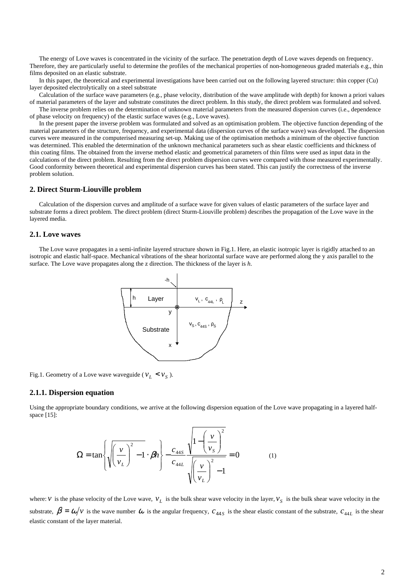The energy of Love waves is concentrated in the vicinity of the surface. The penetration depth of Love waves depends on frequency. Therefore, they are particularly useful to determine the profiles of the mechanical properties of non-homogeneous graded materials e.g., thin films deposited on an elastic substrate.

 In this paper, the theoretical and experimental investigations have been carried out on the following layered structure: thin copper (Cu) layer deposited electrolytically on a steel substrate

 Calculation of the surface wave parameters (e.g., phase velocity, distribution of the wave amplitude with depth) for known a priori values of material parameters of the layer and substrate constitutes the direct problem. In this study, the direct problem was formulated and solved.

 The inverse problem relies on the determination of unknown material parameters from the measured dispersion curves (i.e., dependence of phase velocity on frequency) of the elastic surface waves (e.g., Love waves).

 In the present paper the inverse problem was formulated and solved as an optimisation problem. The objective function depending of the material parameters of the structure, frequency, and experimental data (dispersion curves of the surface wave) was developed. The dispersion curves were measured in the computerised measuring set-up. Making use of the optimisation methods a minimum of the objective function was determined. This enabled the determination of the unknown mechanical parameters such as shear elastic coefficients and thickness of thin coating films. The obtained from the inverse method elastic and geometrical parameters of thin films were used as input data in the calculations of the direct problem. Resulting from the direct problem dispersion curves were compared with those measured experimentally. Good conformity between theoretical and experimental dispersion curves has been stated. This can justify the correctness of the inverse problem solution.

# **2. Direct Sturm-Liouville problem**

 Calculation of the dispersion curves and amplitude of a surface wave for given values of elastic parameters of the surface layer and substrate forms a direct problem. The direct problem (direct Sturm-Liouville problem) describes the propagation of the Love wave in the layered media.

# **2.1. Love waves**

 The Love wave propagates in a semi-infinite layered structure shown in Fig.1. Here, an elastic isotropic layer is rigidly attached to an isotropic and elastic half-space. Mechanical vibrations of the shear horizontal surface wave are performed along the y axis parallel to the surface. The Love wave propagates along the z direction. The thickness of the layer is *h*.



Fig.1. Geometry of a Love wave waveguide ( $v_L < v_S$ ).

# **2.1.1. Dispersion equation**

Using the appropriate boundary conditions, we arrive at the following dispersion equation of the Love wave propagating in a layered halfspace [15]:

$$
\Omega = \tan\left\{\sqrt{\left(\frac{v}{v_L}\right)^2 - 1} \cdot \beta h\right\} - \frac{c_{44S}}{c_{44L}} \frac{\sqrt{1 - \left(\frac{v}{v_S}\right)^2}}{\sqrt{\left(\frac{v}{v_L}\right)^2 - 1}} = 0 \tag{1}
$$

where: *V* is the phase velocity of the Love wave,  $V_L$  is the bulk shear wave velocity in the layer,  $V_S$  is the bulk shear wave velocity in the substrate,  $\beta = \omega/v$  is the wave number  $\omega$  is the angular frequency,  $c_{44S}$  is the shear elastic constant of the substrate,  $c_{44L}$  is the shear elastic constant of the layer material.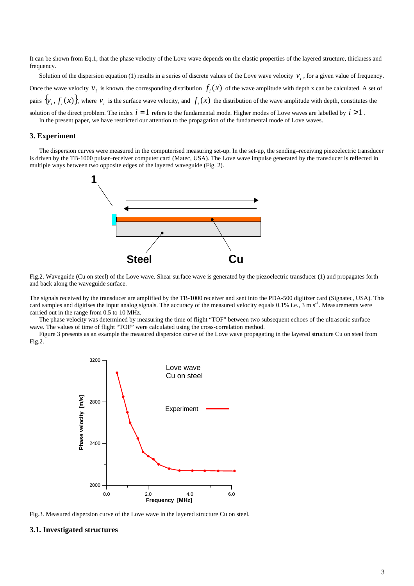It can be shown from Eq.1, that the phase velocity of the Love wave depends on the elastic properties of the layered structure, thickness and frequency.

Solution of the dispersion equation (1) results in a series of discrete values of the Love wave velocity  $v_i$ , for a given value of frequency. Once the wave velocity  $v_i$  is known, the corresponding distribution  $f_i(x)$  of the wave amplitude with depth x can be calculated. A set of pairs  $\{v_i, f_i(x)\}$ , where  $v_i$  is the surface wave velocity, and  $f_i(x)$  the distribution of the wave amplitude with depth, constitutes the solution of the direct problem. The index  $i = 1$  refers to the fundamental mode. Higher modes of Love waves are labelled by  $i > 1$ .

In the present paper, we have restricted our attention to the propagation of the fundamental mode of Love waves.

#### **3. Experiment**

 The dispersion curves were measured in the computerised measuring set-up. In the set-up, the sending–receiving piezoelectric transducer is driven by the TB-1000 pulser–receiver computer card (Matec, USA). The Love wave impulse generated by the transducer is reflected in multiple ways between two opposite edges of the layered waveguide (Fig. 2).



Fig.2. Waveguide (Cu on steel) of the Love wave. Shear surface wave is generated by the piezoelectric transducer (1) and propagates forth and back along the waveguide surface.

The signals received by the transducer are amplified by the TB-1000 receiver and sent into the PDA-500 digitizer card (Signatec, USA). This card samples and digitises the input analog signals. The accuracy of the measured velocity equals  $0.1\%$  i.e.,  $3 \text{ m s}^{-1}$ . Measurements were carried out in the range from 0.5 to 10 MHz.

 The phase velocity was determined by measuring the time of flight "TOF" between two subsequent echoes of the ultrasonic surface wave. The values of time of flight "TOF" were calculated using the cross-correlation method.

 Figure 3 presents as an example the measured dispersion curve of the Love wave propagating in the layered structure Cu on steel from Fig.2.



Fig.3. Measured dispersion curve of the Love wave in the layered structure Cu on steel.

# **3.1. Investigated structures**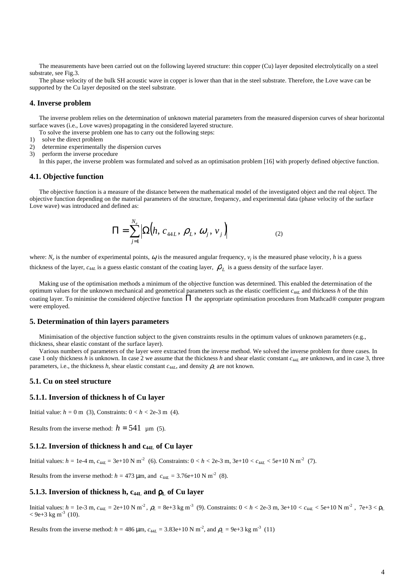The measurements have been carried out on the following layered structure: thin copper (Cu) layer deposited electrolytically on a steel substrate, see Fig.3.

 The phase velocity of the bulk SH acoustic wave in copper is lower than that in the steel substrate. Therefore, the Love wave can be supported by the Cu layer deposited on the steel substrate.

#### **4. Inverse problem**

 The inverse problem relies on the determination of unknown material parameters from the measured dispersion curves of shear horizontal surface waves (i.e., Love waves) propagating in the considered layered structure.

To solve the inverse problem one has to carry out the following steps:

- 1) solve the direct problem
- 2) determine experimentally the dispersion curves

3) perform the inverse procedure

In this paper, the inverse problem was formulated and solved as an optimisation problem [16] with properly defined objective function.

#### **4.1. Objective function**

 The objective function is a measure of the distance between the mathematical model of the investigated object and the real object. The objective function depending on the material parameters of the structure, frequency, and experimental data (phase velocity of the surface Love wave) was introduced and defined as:

$$
\Pi = \sum_{j=1}^{N_e} \Big| \Omega \Big( h, \, c_{44L}, \, \rho_L, \, \omega_j, \, \nu_j \Big) \Big| \tag{2}
$$

where:  $N_e$  is the number of experimental points,  $\omega_j$  is the measured angular frequency,  $v_j$  is the measured phase velocity, *h* is a guess thickness of the layer,  $c_{44L}$  is a guess elastic constant of the coating layer,  $\rho_L$  is a guess density of the surface layer.

 Making use of the optimisation methods a minimum of the objective function was determined. This enabled the determination of the optimum values for the unknown mechanical and geometrical parameters such as the elastic coefficient *c*<sup>44</sup>*L* and thickness *h* of the thin coating layer. To minimise the considered objective function  $\Pi$  the appropriate optimisation procedures from Mathcad® computer program were employed.

#### **5. Determination of thin layers parameters**

 Minimisation of the objective function subject to the given constraints results in the optimum values of unknown parameters (e.g., thickness, shear elastic constant of the surface layer).

 Various numbers of parameters of the layer were extracted from the inverse method. We solved the inverse problem for three cases. In case 1 only thickness *h* is unknown. In case 2 we assume that the thickness *h* and shear elastic constant *c*<sup>44</sup>*L* are unknown, and in case 3, three parameters, i.e., the thickness *h*, shear elastic constant  $c_{44L}$ , and density  $\rho_L$  are not known.

#### **5.1. Cu on steel structure**

#### **5.1.1. Inversion of thickness h of Cu layer**

Initial value:  $h = 0$  m (3), Constraints:  $0 < h < 2e-3$  m (4).

Results from the inverse method:  $h = 541 \mu m$  (5).

# **5.1.2. Inversion of thickness h and c44L of Cu layer**

Initial values:  $h = 1e^{-4}$  m,  $c_{44L} = 3e+10$  N m<sup>-2</sup> (6). Constraints:  $0 < h < 2e^{-3}$  m,  $3e+10 < c_{44L} < 5e+10$  N m<sup>-2</sup> (7).

Results from the inverse method:  $h = 473 \,\mu$ m, and  $c_{44L} = 3.76e+10 \text{ N m}^{-2}$  (8).

# **5.1.3. Inversion of thickness h, c44L and** ρ**L of Cu layer**

Initial values: *h* = 1e-3 m, *c*<sub>44*L*</sub> = 2e+10 N m<sup>-2</sup>, *ρ*<sub>L</sub> = 8e+3 kg m<sup>-3</sup> (9). Constraints: 0 < *h* < 2e-3 m, 3e+10 < *c*<sub>44*L*</sub> < 5e+10 N m<sup>-2</sup>, 7e+3 < *ρ*<sub>L</sub>  $<$  9e+3 kg m<sup>-3</sup> (10).

Results from the inverse method:  $h = 486 \,\mu \text{m}$ ,  $c_{44L} = 3.83 \text{e} + 10 \text{ N m}^2$ , and  $\rho_L = 9 \text{e} + 3 \text{ kg m}^3$  (11)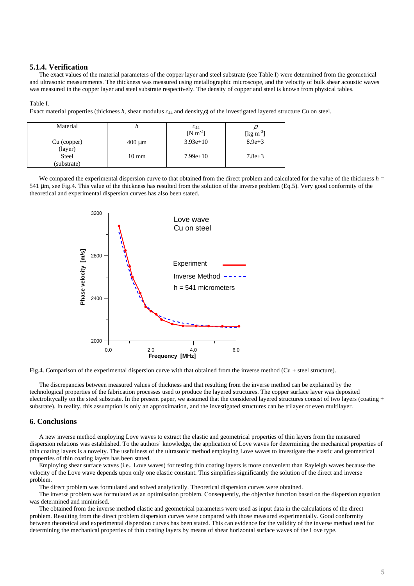# **5.1.4. Verification**

 The exact values of the material parameters of the copper layer and steel substrate (see Table I) were determined from the geometrical and ultrasonic measurements. The thickness was measured using metallographic microscope, and the velocity of bulk shear acoustic waves was measured in the copper layer and steel substrate respectively. The density of copper and steel is known from physical tables.

#### Table I.

Exact material properties (thickness h, shear modulus  $c_{44}$  and density  $\rho$ ) of the investigated layered structure Cu on steel.

| Material    |                 | $\frac{c_{44}}{[N \text{ m}^{-2}]}$ |                   |
|-------------|-----------------|-------------------------------------|-------------------|
|             |                 |                                     | $[\text{kg m}^3]$ |
| Cu (copper) | $400 \mu m$     | $3.93e+10$                          | $8.9e + 3$        |
| (layer)     |                 |                                     |                   |
| Steel       | $10 \text{ mm}$ | $7.99e+10$                          | $7.8e + 3$        |
| (substrate) |                 |                                     |                   |

We compared the experimental dispersion curve to that obtained from the direct problem and calculated for the value of the thickness *h* = 541 µm, see Fig.4. This value of the thickness has resulted from the solution of the inverse problem (Eq.5). Very good conformity of the theoretical and experimental dispersion curves has also been stated.





 The discrepancies between measured values of thickness and that resulting from the inverse method can be explained by the technological properties of the fabrication processes used to produce the layered structures. The copper surface layer was deposited electrolitycally on the steel substrate. In the present paper, we assumed that the considered layered structures consist of two layers (coating + substrate). In reality, this assumption is only an approximation, and the investigated structures can be trilayer or even multilayer.

## **6. Conclusions**

 A new inverse method employing Love waves to extract the elastic and geometrical properties of thin layers from the measured dispersion relations was established. To the authors' knowledge, the application of Love waves for determining the mechanical properties of thin coating layers is a novelty. The usefulness of the ultrasonic method employing Love waves to investigate the elastic and geometrical properties of thin coating layers has been stated.

 Employing shear surface waves (i.e., Love waves) for testing thin coating layers is more convenient than Rayleigh waves because the velocity of the Love wave depends upon only one elastic constant. This simplifies significantly the solution of the direct and inverse problem.

The direct problem was formulated and solved analytically. Theoretical dispersion curves were obtained.

 The inverse problem was formulated as an optimisation problem. Consequently, the objective function based on the dispersion equation was determined and minimised.

 The obtained from the inverse method elastic and geometrical parameters were used as input data in the calculations of the direct problem. Resulting from the direct problem dispersion curves were compared with those measured experimentally. Good conformity between theoretical and experimental dispersion curves has been stated. This can evidence for the validity of the inverse method used for determining the mechanical properties of thin coating layers by means of shear horizontal surface waves of the Love type.